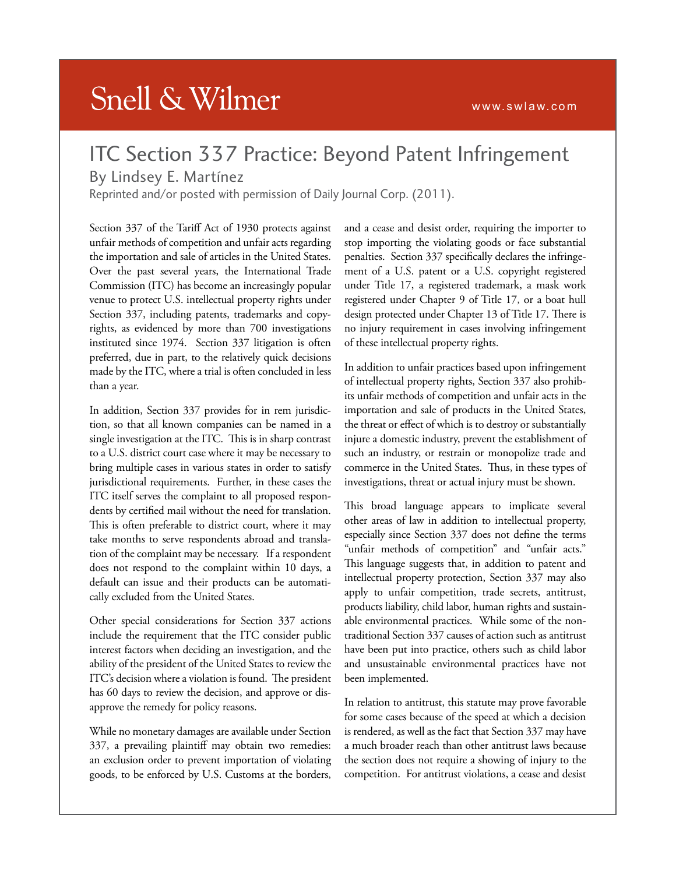## **Snell & Wilmer**

## ITC Section 337 Practice: Beyond Patent Infringement

## By Lindsey E. Martínez

Reprinted and/or posted with permission of Daily Journal Corp. (2011).

Section 337 of the Tariff Act of 1930 protects against unfair methods of competition and unfair acts regarding the importation and sale of articles in the United States. Over the past several years, the International Trade Commission (ITC) has become an increasingly popular venue to protect U.S. intellectual property rights under Section 337, including patents, trademarks and copyrights, as evidenced by more than 700 investigations instituted since 1974. Section 337 litigation is often preferred, due in part, to the relatively quick decisions made by the ITC, where a trial is often concluded in less than a year.

In addition, Section 337 provides for in rem jurisdiction, so that all known companies can be named in a single investigation at the ITC. This is in sharp contrast to a U.S. district court case where it may be necessary to bring multiple cases in various states in order to satisfy jurisdictional requirements. Further, in these cases the ITC itself serves the complaint to all proposed respondents by certified mail without the need for translation. This is often preferable to district court, where it may take months to serve respondents abroad and translation of the complaint may be necessary. If a respondent does not respond to the complaint within 10 days, a default can issue and their products can be automatically excluded from the United States.

Other special considerations for Section 337 actions include the requirement that the ITC consider public interest factors when deciding an investigation, and the ability of the president of the United States to review the ITC's decision where a violation is found. The president has 60 days to review the decision, and approve or disapprove the remedy for policy reasons.

While no monetary damages are available under Section 337, a prevailing plaintiff may obtain two remedies: an exclusion order to prevent importation of violating goods, to be enforced by U.S. Customs at the borders,

and a cease and desist order, requiring the importer to stop importing the violating goods or face substantial penalties. Section 337 specifically declares the infringement of a U.S. patent or a U.S. copyright registered under Title 17, a registered trademark, a mask work registered under Chapter 9 of Title 17, or a boat hull design protected under Chapter 13 of Title 17. There is no injury requirement in cases involving infringement of these intellectual property rights.

In addition to unfair practices based upon infringement of intellectual property rights, Section 337 also prohibits unfair methods of competition and unfair acts in the importation and sale of products in the United States, the threat or effect of which is to destroy or substantially injure a domestic industry, prevent the establishment of such an industry, or restrain or monopolize trade and commerce in the United States. Thus, in these types of investigations, threat or actual injury must be shown.

This broad language appears to implicate several other areas of law in addition to intellectual property, especially since Section 337 does not define the terms "unfair methods of competition" and "unfair acts." This language suggests that, in addition to patent and intellectual property protection, Section 337 may also apply to unfair competition, trade secrets, antitrust, products liability, child labor, human rights and sustainable environmental practices. While some of the nontraditional Section 337 causes of action such as antitrust have been put into practice, others such as child labor and unsustainable environmental practices have not been implemented.

In relation to antitrust, this statute may prove favorable for some cases because of the speed at which a decision is rendered, as well as the fact that Section 337 may have a much broader reach than other antitrust laws because the section does not require a showing of injury to the competition. For antitrust violations, a cease and desist